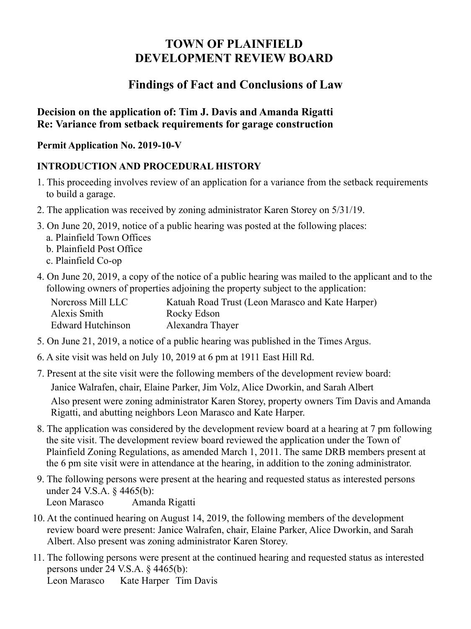# **TOWN OF PLAINFIELD DEVELOPMENT REVIEW BOARD**

# **Findings of Fact and Conclusions of Law**

### **Decision on the application of: Tim J. Davis and Amanda Rigatti Re: Variance from setback requirements for garage construction**

#### **Permit Application No. 2019-10-V**

## **INTRODUCTION AND PROCEDURAL HISTORY**

- 1. This proceeding involves review of an application for a variance from the setback requirements to build a garage.
- 2. The application was received by zoning administrator Karen Storey on 5/31/19.
- 3. On June 20, 2019, notice of a public hearing was posted at the following places:
	- a. Plainfield Town Offices
	- b. Plainfield Post Office
	- c. Plainfield Co-op
- 4. On June 20, 2019, a copy of the notice of a public hearing was mailed to the applicant and to the following owners of properties adjoining the property subject to the application:

| Norcross Mill LLC        | Katuah Road Trust (Leon Marasco and Kate Harper) |
|--------------------------|--------------------------------------------------|
| Alexis Smith             | Rocky Edson                                      |
| <b>Edward Hutchinson</b> | Alexandra Thayer                                 |

- 5. On June 21, 2019, a notice of a public hearing was published in the Times Argus.
- 6. A site visit was held on July 10, 2019 at 6 pm at 1911 East Hill Rd.
- 7. Present at the site visit were the following members of the development review board:

Janice Walrafen, chair, Elaine Parker, Jim Volz, Alice Dworkin, and Sarah Albert

Also present were zoning administrator Karen Storey, property owners Tim Davis and Amanda Rigatti, and abutting neighbors Leon Marasco and Kate Harper.

- 8. The application was considered by the development review board at a hearing at 7 pm following the site visit. The development review board reviewed the application under the Town of Plainfield Zoning Regulations, as amended March 1, 2011. The same DRB members present at the 6 pm site visit were in attendance at the hearing, in addition to the zoning administrator.
- 9. The following persons were present at the hearing and requested status as interested persons under 24 V.S.A. § 4465(b): Leon Marasco Amanda Rigatti
- 10. At the continued hearing on August 14, 2019, the following members of the development review board were present: Janice Walrafen, chair, Elaine Parker, Alice Dworkin, and Sarah Albert. Also present was zoning administrator Karen Storey.
- 11. The following persons were present at the continued hearing and requested status as interested persons under 24 V.S.A. § 4465(b): Leon Marasco Kate Harper Tim Davis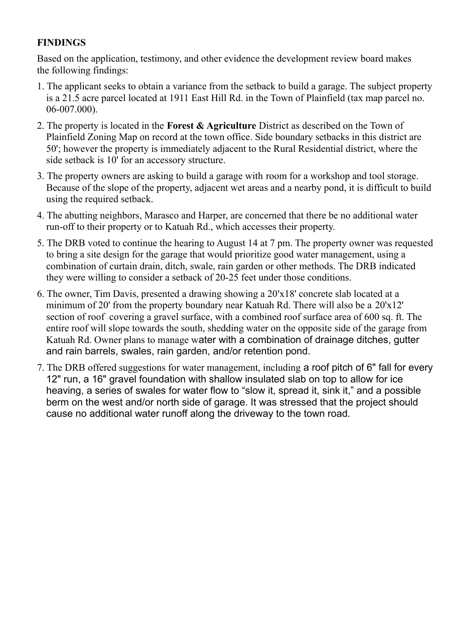### **FINDINGS**

Based on the application, testimony, and other evidence the development review board makes the following findings:

- 1. The applicant seeks to obtain a variance from the setback to build a garage. The subject property is a 21.5 acre parcel located at 1911 East Hill Rd. in the Town of Plainfield (tax map parcel no. 06-007.000).
- 2. The property is located in the **Forest & Agriculture** District as described on the Town of Plainfield Zoning Map on record at the town office. Side boundary setbacks in this district are 50'; however the property is immediately adjacent to the Rural Residential district, where the side setback is 10' for an accessory structure.
- 3. The property owners are asking to build a garage with room for a workshop and tool storage. Because of the slope of the property, adjacent wet areas and a nearby pond, it is difficult to build using the required setback.
- 4. The abutting neighbors, Marasco and Harper, are concerned that there be no additional water run-off to their property or to Katuah Rd., which accesses their property.
- 5. The DRB voted to continue the hearing to August 14 at 7 pm. The property owner was requested to bring a site design for the garage that would prioritize good water management, using a combination of curtain drain, ditch, swale, rain garden or other methods. The DRB indicated they were willing to consider a setback of 20-25 feet under those conditions.
- 6. The owner, Tim Davis, presented a drawing showing a 20'x18' concrete slab located at a minimum of 20' from the property boundary near Katuah Rd. There will also be a 20'x12' section of roof covering a gravel surface, with a combined roof surface area of 600 sq. ft. The entire roof will slope towards the south, shedding water on the opposite side of the garage from Katuah Rd. Owner plans to manage water with a combination of drainage ditches, gutter and rain barrels, swales, rain garden, and/or retention pond.
- 7. The DRB offered suggestions for water management, including a roof pitch of 6" fall for every 12" run, a 16" gravel foundation with shallow insulated slab on top to allow for ice heaving, a series of swales for water flow to "slow it, spread it, sink it," and a possible berm on the west and/or north side of garage. It was stressed that the project should cause no additional water runoff along the driveway to the town road.